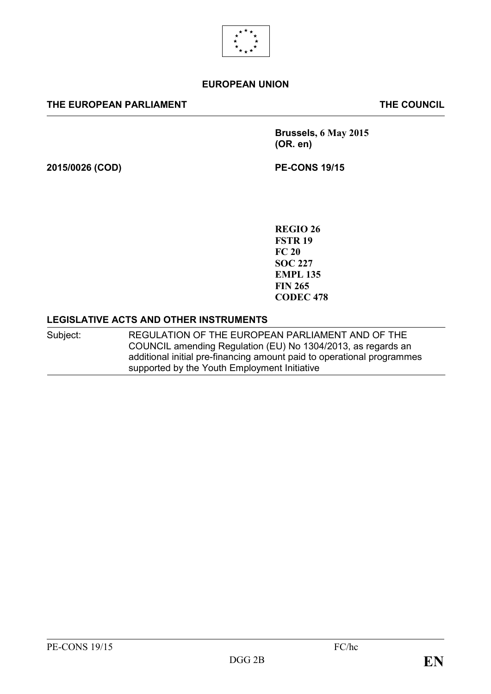

#### **EUROPEAN UNION**

#### **THE EUROPEAN PARLIAMENT THE COUNCIL**

**Brussels, 6 May 2015 (OR. en)**

**2015/0026 (COD) PE-CONS 19/15**

**REGIO 26 FSTR 19 FC 20 SOC 227 EMPL 135 FIN 265 CODEC 478**

#### **LEGISLATIVE ACTS AND OTHER INSTRUMENTS**

Subject: REGULATION OF THE EUROPEAN PARLIAMENT AND OF THE COUNCIL amending Regulation (EU) No 1304/2013, as regards an additional initial pre-financing amount paid to operational programmes supported by the Youth Employment Initiative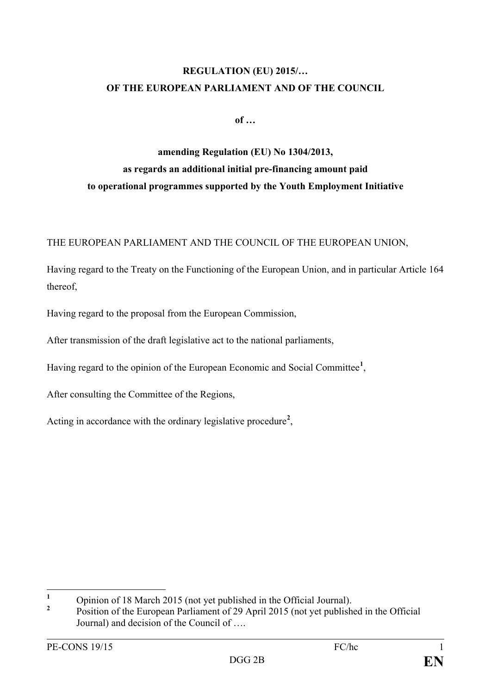# **REGULATION (EU) 2015/… OF THE EUROPEAN PARLIAMENT AND OF THE COUNCIL**

**of …**

# **amending Regulation (EU) No 1304/2013, as regards an additional initial pre-financing amount paid to operational programmes supported by the Youth Employment Initiative**

THE EUROPEAN PARLIAMENT AND THE COUNCIL OF THE EUROPEAN UNION,

Having regard to the Treaty on the Functioning of the European Union, and in particular Article 164 thereof,

Having regard to the proposal from the European Commission,

After transmission of the draft legislative act to the national parliaments,

Having regard to the opinion of the European Economic and Social Committee**[1](#page-1-0)** ,

After consulting the Committee of the Regions,

Acting in accordance with the ordinary legislative procedure**[2](#page-1-1)** ,

<span id="page-1-0"></span><sup>&</sup>lt;sup>1</sup> Opinion of 18 March 2015 (not yet published in the Official Journal).  $\mathbf{1}$ 

<span id="page-1-1"></span>**<sup>2</sup>** Position of the European Parliament of 29 April 2015 (not yet published in the Official Journal) and decision of the Council of ….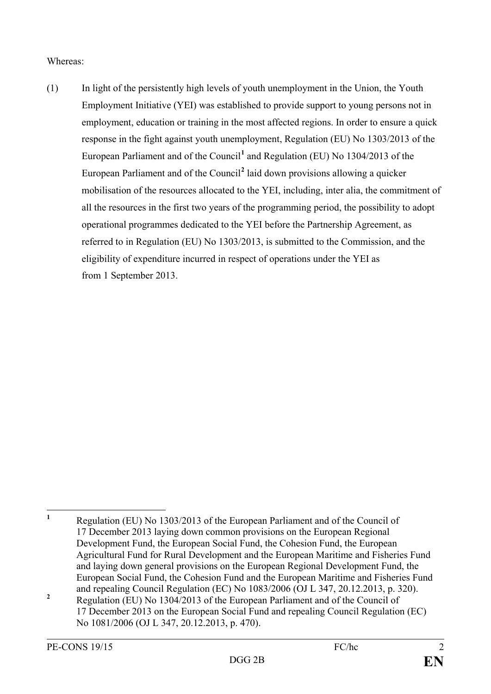#### Whereas:

(1) In light of the persistently high levels of youth unemployment in the Union, the Youth Employment Initiative (YEI) was established to provide support to young persons not in employment, education or training in the most affected regions. In order to ensure a quick response in the fight against youth unemployment, Regulation (EU) No 1303/2013 of the European Parliament and of the Council**[1](#page-2-0)** and Regulation (EU) No 1304/2013 of the European Parliament and of the Council**[2](#page-2-1)** laid down provisions allowing a quicker mobilisation of the resources allocated to the YEI, including, inter alia, the commitment of all the resources in the first two years of the programming period, the possibility to adopt operational programmes dedicated to the YEI before the Partnership Agreement, as referred to in Regulation (EU) No 1303/2013, is submitted to the Commission, and the eligibility of expenditure incurred in respect of operations under the YEI as from 1 September 2013.

<span id="page-2-1"></span><span id="page-2-0"></span>**<sup>1</sup>** Regulation (EU) No 1303/2013 of the European Parliament and of the Council of 17 December 2013 laying down common provisions on the European Regional Development Fund, the European Social Fund, the Cohesion Fund, the European Agricultural Fund for Rural Development and the European Maritime and Fisheries Fund and laying down general provisions on the European Regional Development Fund, the European Social Fund, the Cohesion Fund and the European Maritime and Fisheries Fund and repealing Council Regulation (EC) No 1083/2006 (OJ L 347, 20.12.2013, p. 320). <sup>2</sup> Regulation (EU) No 1304/2013 of the European Parliament and of the Council of 17 December 2013 on the European Social Fund and repealing Council Regulation (EC) No 1081/2006 (OJ L 347, 20.12.2013, p. 470).  $\mathbf{1}$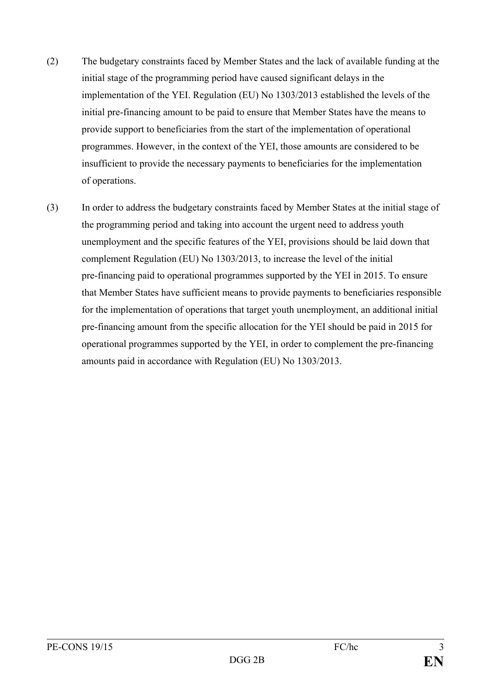- (2) The budgetary constraints faced by Member States and the lack of available funding at the initial stage of the programming period have caused significant delays in the implementation of the YEI. Regulation (EU) No 1303/2013 established the levels of the initial pre-financing amount to be paid to ensure that Member States have the means to provide support to beneficiaries from the start of the implementation of operational programmes. However, in the context of the YEI, those amounts are considered to be insufficient to provide the necessary payments to beneficiaries for the implementation of operations.
- (3) In order to address the budgetary constraints faced by Member States at the initial stage of the programming period and taking into account the urgent need to address youth unemployment and the specific features of the YEI, provisions should be laid down that complement Regulation (EU) No 1303/2013, to increase the level of the initial pre-financing paid to operational programmes supported by the YEI in 2015. To ensure that Member States have sufficient means to provide payments to beneficiaries responsible for the implementation of operations that target youth unemployment, an additional initial pre-financing amount from the specific allocation for the YEI should be paid in 2015 for operational programmes supported by the YEI, in order to complement the pre-financing amounts paid in accordance with Regulation (EU) No 1303/2013.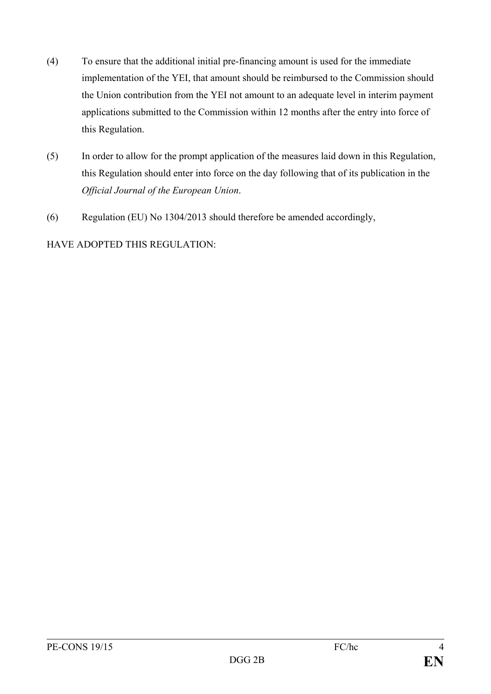- (4) To ensure that the additional initial pre-financing amount is used for the immediate implementation of the YEI, that amount should be reimbursed to the Commission should the Union contribution from the YEI not amount to an adequate level in interim payment applications submitted to the Commission within 12 months after the entry into force of this Regulation.
- (5) In order to allow for the prompt application of the measures laid down in this Regulation, this Regulation should enter into force on the day following that of its publication in the *Official Journal of the European Union*.
- (6) Regulation (EU) No 1304/2013 should therefore be amended accordingly,

### HAVE ADOPTED THIS REGULATION: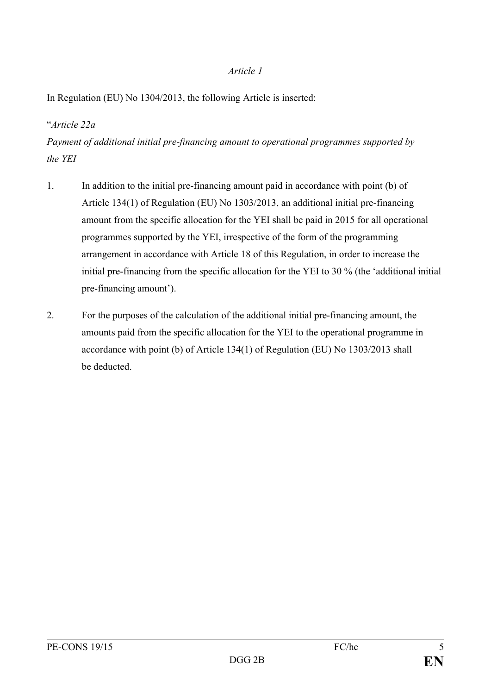#### *Article 1*

In Regulation (EU) No 1304/2013, the following Article is inserted:

# "*Article 22a*

*Payment of additional initial pre-financing amount to operational programmes supported by the YEI*

- 1. In addition to the initial pre-financing amount paid in accordance with point (b) of Article 134(1) of Regulation (EU) No 1303/2013, an additional initial pre-financing amount from the specific allocation for the YEI shall be paid in 2015 for all operational programmes supported by the YEI, irrespective of the form of the programming arrangement in accordance with Article 18 of this Regulation, in order to increase the initial pre-financing from the specific allocation for the YEI to 30 % (the 'additional initial pre-financing amount').
- 2. For the purposes of the calculation of the additional initial pre-financing amount, the amounts paid from the specific allocation for the YEI to the operational programme in accordance with point (b) of Article 134(1) of Regulation (EU) No 1303/2013 shall be deducted.